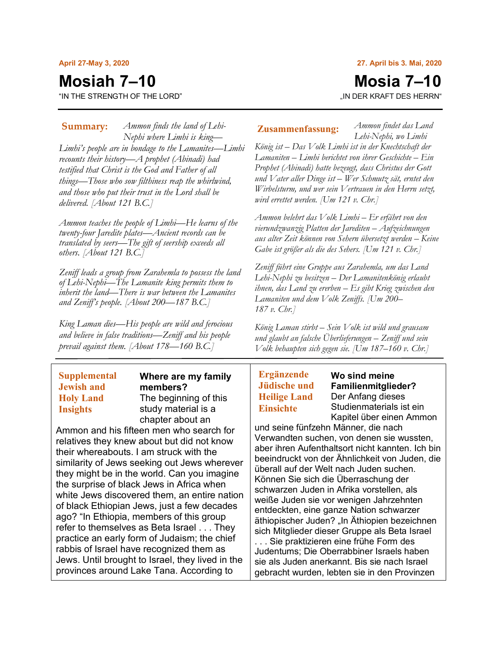#### **April 27-May 3, 2020**

## **Mosiah 7–10**

"IN THE STRENGTH OF THE LORD"

#### **27. April bis 3. Mai, 2020**

# **Mosia 7–10**

*Ammon findet das Land* 

"IN DER KRAFT DES HERRN"

*Ammon finds the land of Lehi-***Summary: Zusammenfassung:** *Nephi where Limhi is king— Limhi's people are in bondage to the Lamanites—Limhi recounts their history—A prophet (Abinadi) had testified that Christ is the God and Father of all things—Those who sow filthiness reap the whirlwind, and those who put their trust in the Lord shall be delivered. [About 121 B.C.]*

*Ammon teaches the people of Limhi—He learns of the twenty-four Jaredite plates—Ancient records can be translated by seers—The gift of seership exceeds all others. [About 121 B.C.]*

*Zeniff leads a group from Zarahemla to possess the land of Lehi-Nephi—The Lamanite king permits them to inherit the land—There is war between the Lamanites and Zeniff's people. [About 200—187 B.C.]*

*King Laman dies—His people are wild and ferocious and believe in false traditions—Zeniff and his people prevail against them. [About 178—160 B.C.]*

## **Supplemental Jewish and Holy Land Insights**

**Where are my family members?** The beginning of this study material is a chapter about an

Ammon and his fifteen men who search for relatives they knew about but did not know their whereabouts. I am struck with the similarity of Jews seeking out Jews wherever they might be in the world. Can you imagine the surprise of black Jews in Africa when white Jews discovered them, an entire nation of black Ethiopian Jews, just a few decades ago? "In Ethiopia, members of this group refer to themselves as Beta Israel . . . They practice an early form of Judaism; the chief rabbis of Israel have recognized them as Jews. Until brought to Israel, they lived in the provinces around Lake Tana. According to

*Lehi-Nephi, wo Limhi König ist – Das Volk Limhi ist in der Knechtschaft der Lamaniten – Limhi berichtet von ihrer Geschichte – Ein Prophet (Abinadi) hatte bezeugt, dass Christus der Gott und Vater aller Dinge ist – Wer Schmutz sät, erntet den Wirbelsturm, und wer sein Vertrauen in den Herrn setzt, wird errettet werden. [Um 121 v. Chr.]*

*Ammon belehrt das Volk Limhi – Er erfährt von den vierundzwanzig Platten der Jarediten – Aufzeichnungen aus alter Zeit können von Sehern übersetzt werden – Keine Gabe ist größer als die des Sehers. [Um 121 v. Chr.]*

*Zeniff führt eine Gruppe aus Zarahemla, um das Land Lehi-Nephi zu besitzen – Der Lamanitenkönig erlaubt ihnen, das Land zu ererben – Es gibt Krieg zwischen den Lamaniten und dem Volk Zeniffs. [Um 200– 187 v. Chr.]*

*König Laman stirbt – Sein Volk ist wild und grausam und glaubt an falsche Überlieferungen – Zeniff und sein Volk behaupten sich gegen sie. [Um 187–160 v. Chr.]*

## **Ergänzende Jüdische und Heilige Land Einsichte**

**Wo sind meine Familienmitglieder?** Der Anfang dieses Studienmaterials ist ein Kapitel über einen Ammon

und seine fünfzehn Männer, die nach Verwandten suchen, von denen sie wussten, aber ihren Aufenthaltsort nicht kannten. Ich bin beeindruckt von der Ähnlichkeit von Juden, die überall auf der Welt nach Juden suchen. Können Sie sich die Überraschung der schwarzen Juden in Afrika vorstellen, als weiße Juden sie vor wenigen Jahrzehnten entdeckten, eine ganze Nation schwarzer äthiopischer Juden? "In Äthiopien bezeichnen sich Mitglieder dieser Gruppe als Beta Israel . . . Sie praktizieren eine frühe Form des Judentums; Die Oberrabbiner Israels haben sie als Juden anerkannt. Bis sie nach Israel gebracht wurden, lebten sie in den Provinzen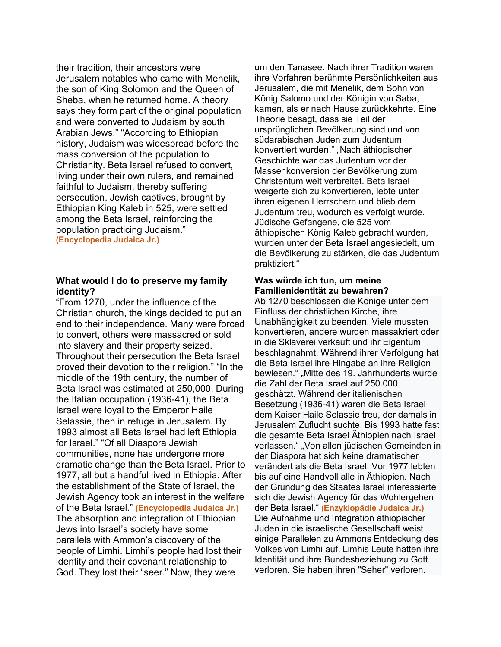| their tradition, their ancestors were<br>Jerusalem notables who came with Menelik,<br>the son of King Solomon and the Queen of<br>Sheba, when he returned home. A theory<br>says they form part of the original population<br>and were converted to Judaism by south<br>Arabian Jews." "According to Ethiopian<br>history, Judaism was widespread before the<br>mass conversion of the population to<br>Christianity. Beta Israel refused to convert,<br>living under their own rulers, and remained<br>faithful to Judaism, thereby suffering<br>persecution. Jewish captives, brought by<br>Ethiopian King Kaleb in 525, were settled<br>among the Beta Israel, reinforcing the<br>population practicing Judaism."<br>(Encyclopedia Judaica Jr.)                                                                                                                                                                                                                                                                                                                                                                                                                                                                                                                                                        | um den Tanasee. Nach ihrer Tradition waren<br>ihre Vorfahren berühmte Persönlichkeiten aus<br>Jerusalem, die mit Menelik, dem Sohn von<br>König Salomo und der Königin von Saba,<br>kamen, als er nach Hause zurückkehrte. Eine<br>Theorie besagt, dass sie Teil der<br>ursprünglichen Bevölkerung sind und von<br>südarabischen Juden zum Judentum<br>konvertiert wurden." "Nach äthiopischer<br>Geschichte war das Judentum vor der<br>Massenkonversion der Bevölkerung zum<br>Christentum weit verbreitet. Beta Israel<br>weigerte sich zu konvertieren, lebte unter<br>ihren eigenen Herrschern und blieb dem<br>Judentum treu, wodurch es verfolgt wurde.<br>Jüdische Gefangene, die 525 vom<br>äthiopischen König Kaleb gebracht wurden,<br>wurden unter der Beta Israel angesiedelt, um<br>die Bevölkerung zu stärken, die das Judentum<br>praktiziert."                                                                                                                                                                                                                                                                                                                                                                                                                                                                                                        |
|-----------------------------------------------------------------------------------------------------------------------------------------------------------------------------------------------------------------------------------------------------------------------------------------------------------------------------------------------------------------------------------------------------------------------------------------------------------------------------------------------------------------------------------------------------------------------------------------------------------------------------------------------------------------------------------------------------------------------------------------------------------------------------------------------------------------------------------------------------------------------------------------------------------------------------------------------------------------------------------------------------------------------------------------------------------------------------------------------------------------------------------------------------------------------------------------------------------------------------------------------------------------------------------------------------------|------------------------------------------------------------------------------------------------------------------------------------------------------------------------------------------------------------------------------------------------------------------------------------------------------------------------------------------------------------------------------------------------------------------------------------------------------------------------------------------------------------------------------------------------------------------------------------------------------------------------------------------------------------------------------------------------------------------------------------------------------------------------------------------------------------------------------------------------------------------------------------------------------------------------------------------------------------------------------------------------------------------------------------------------------------------------------------------------------------------------------------------------------------------------------------------------------------------------------------------------------------------------------------------------------------------------------------------------------------------------|
| What would I do to preserve my family<br>identity?<br>"From 1270, under the influence of the<br>Christian church, the kings decided to put an<br>end to their independence. Many were forced<br>to convert, others were massacred or sold<br>into slavery and their property seized.<br>Throughout their persecution the Beta Israel<br>proved their devotion to their religion." "In the<br>middle of the 19th century, the number of<br>Beta Israel was estimated at 250,000. During<br>the Italian occupation (1936-41), the Beta<br>Israel were loyal to the Emperor Haile<br>Selassie, then in refuge in Jerusalem. By<br>1993 almost all Beta Israel had left Ethiopia<br>for Israel." "Of all Diaspora Jewish<br>communities, none has undergone more<br>dramatic change than the Beta Israel. Prior to<br>1977, all but a handful lived in Ethiopia. After<br>the establishment of the State of Israel, the<br>Jewish Agency took an interest in the welfare<br>of the Beta Israel." (Encyclopedia Judaica Jr.)<br>The absorption and integration of Ethiopian<br>Jews into Israel's society have some<br>parallels with Ammon's discovery of the<br>people of Limhi. Limhi's people had lost their<br>identity and their covenant relationship to<br>God. They lost their "seer." Now, they were | Was würde ich tun, um meine<br>Familienidentität zu bewahren?<br>Ab 1270 beschlossen die Könige unter dem<br>Einfluss der christlichen Kirche, ihre<br>Unabhängigkeit zu beenden. Viele mussten<br>konvertieren, andere wurden massakriert oder<br>in die Sklaverei verkauft und ihr Eigentum<br>beschlagnahmt. Während ihrer Verfolgung hat<br>die Beta Israel ihre Hingabe an ihre Religion<br>bewiesen." "Mitte des 19. Jahrhunderts wurde<br>die Zahl der Beta Israel auf 250.000<br>geschätzt. Während der italienischen<br>Besetzung (1936-41) waren die Beta Israel<br>dem Kaiser Haile Selassie treu, der damals in<br>Jerusalem Zuflucht suchte. Bis 1993 hatte fast<br>die gesamte Beta Israel Äthiopien nach Israel<br>verlassen." "Von allen jüdischen Gemeinden in<br>der Diaspora hat sich keine dramatischer<br>verändert als die Beta Israel. Vor 1977 lebten<br>bis auf eine Handvoll alle in Äthiopien. Nach<br>der Gründung des Staates Israel interessierte<br>sich die Jewish Agency für das Wohlergehen<br>der Beta Israel." (Enzyklopädie Judaica Jr.)<br>Die Aufnahme und Integration äthiopischer<br>Juden in die israelische Gesellschaft weist<br>einige Parallelen zu Ammons Entdeckung des<br>Volkes von Limhi auf. Limhis Leute hatten ihre<br>Identität und ihre Bundesbeziehung zu Gott<br>verloren. Sie haben ihren "Seher" verloren. |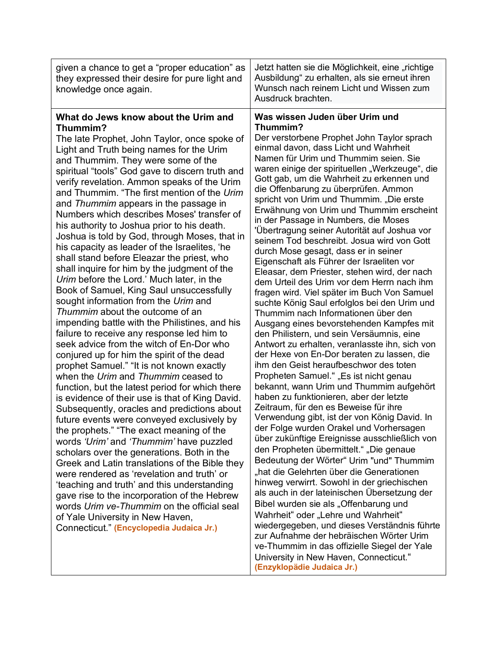| given a chance to get a "proper education" as<br>they expressed their desire for pure light and<br>knowledge once again.                                                                                                                                                                                                                                                                                                                                                                                                                                                                                                                                                                                                                                                                                                                                                                                                                                                                                                                                                                                                                                                                                                                                                                                                                                                                                                                                                                                                                                                                                                                                                                                                                                                                         | Jetzt hatten sie die Möglichkeit, eine "richtige<br>Ausbildung" zu erhalten, als sie erneut ihren<br>Wunsch nach reinem Licht und Wissen zum<br>Ausdruck brachten.                                                                                                                                                                                                                                                                                                                                                                                                                                                                                                                                                                                                                                                                                                                                                                                                                                                                                                                                                                                                                                                                                                                                                                                                                                                                                                                                                                                                                                                                                                                                                                                                                                                                                                                                                                        |
|--------------------------------------------------------------------------------------------------------------------------------------------------------------------------------------------------------------------------------------------------------------------------------------------------------------------------------------------------------------------------------------------------------------------------------------------------------------------------------------------------------------------------------------------------------------------------------------------------------------------------------------------------------------------------------------------------------------------------------------------------------------------------------------------------------------------------------------------------------------------------------------------------------------------------------------------------------------------------------------------------------------------------------------------------------------------------------------------------------------------------------------------------------------------------------------------------------------------------------------------------------------------------------------------------------------------------------------------------------------------------------------------------------------------------------------------------------------------------------------------------------------------------------------------------------------------------------------------------------------------------------------------------------------------------------------------------------------------------------------------------------------------------------------------------|-------------------------------------------------------------------------------------------------------------------------------------------------------------------------------------------------------------------------------------------------------------------------------------------------------------------------------------------------------------------------------------------------------------------------------------------------------------------------------------------------------------------------------------------------------------------------------------------------------------------------------------------------------------------------------------------------------------------------------------------------------------------------------------------------------------------------------------------------------------------------------------------------------------------------------------------------------------------------------------------------------------------------------------------------------------------------------------------------------------------------------------------------------------------------------------------------------------------------------------------------------------------------------------------------------------------------------------------------------------------------------------------------------------------------------------------------------------------------------------------------------------------------------------------------------------------------------------------------------------------------------------------------------------------------------------------------------------------------------------------------------------------------------------------------------------------------------------------------------------------------------------------------------------------------------------------|
| What do Jews know about the Urim and<br>Thummim?<br>The late Prophet, John Taylor, once spoke of<br>Light and Truth being names for the Urim<br>and Thummim. They were some of the<br>spiritual "tools" God gave to discern truth and<br>verify revelation. Ammon speaks of the Urim<br>and Thummim. "The first mention of the Urim<br>and Thummim appears in the passage in<br>Numbers which describes Moses' transfer of<br>his authority to Joshua prior to his death.<br>Joshua is told by God, through Moses, that in<br>his capacity as leader of the Israelites, 'he<br>shall stand before Eleazar the priest, who<br>shall inquire for him by the judgment of the<br>Urim before the Lord.' Much later, in the<br>Book of Samuel, King Saul unsuccessfully<br>sought information from the Urim and<br>Thummim about the outcome of an<br>impending battle with the Philistines, and his<br>failure to receive any response led him to<br>seek advice from the witch of En-Dor who<br>conjured up for him the spirit of the dead<br>prophet Samuel." "It is not known exactly<br>when the Urim and Thummim ceased to<br>function, but the latest period for which there<br>is evidence of their use is that of King David.<br>Subsequently, oracles and predictions about<br>future events were conveyed exclusively by<br>the prophets." "The exact meaning of the<br>words 'Urim' and 'Thummim' have puzzled<br>scholars over the generations. Both in the<br>Greek and Latin translations of the Bible they<br>were rendered as 'revelation and truth' or<br>'teaching and truth' and this understanding<br>gave rise to the incorporation of the Hebrew<br>words Urim ve-Thummim on the official seal<br>of Yale University in New Haven,<br>Connecticut." (Encyclopedia Judaica Jr.) | Was wissen Juden über Urim und<br>Thummim?<br>Der verstorbene Prophet John Taylor sprach<br>einmal davon, dass Licht und Wahrheit<br>Namen für Urim und Thummim seien. Sie<br>waren einige der spirituellen "Werkzeuge", die<br>Gott gab, um die Wahrheit zu erkennen und<br>die Offenbarung zu überprüfen. Ammon<br>spricht von Urim und Thummim. "Die erste<br>Erwähnung von Urim und Thummim erscheint<br>in der Passage in Numbers, die Moses<br>'Übertragung seiner Autorität auf Joshua vor<br>seinem Tod beschreibt. Josua wird von Gott<br>durch Mose gesagt, dass er in seiner<br>Eigenschaft als Führer der Israeliten vor<br>Eleasar, dem Priester, stehen wird, der nach<br>dem Urteil des Urim vor dem Herrn nach ihm<br>fragen wird. Viel später im Buch Von Samuel<br>suchte König Saul erfolglos bei den Urim und<br>Thummim nach Informationen über den<br>Ausgang eines bevorstehenden Kampfes mit<br>den Philistern, und sein Versäumnis, eine<br>Antwort zu erhalten, veranlasste ihn, sich von<br>der Hexe von En-Dor beraten zu lassen, die<br>ihm den Geist heraufbeschwor des toten<br>Propheten Samuel." "Es ist nicht genau<br>bekannt, wann Urim und Thummim aufgehört<br>haben zu funktionieren, aber der letzte<br>Zeitraum, für den es Beweise für ihre<br>Verwendung gibt, ist der von König David. In<br>der Folge wurden Orakel und Vorhersagen<br>über zukünftige Ereignisse ausschließlich von<br>den Propheten übermittelt." "Die genaue<br>Bedeutung der Wörter" Urim "und" Thummim<br>"hat die Gelehrten über die Generationen<br>hinweg verwirrt. Sowohl in der griechischen<br>als auch in der lateinischen Übersetzung der<br>Bibel wurden sie als "Offenbarung und<br>Wahrheit" oder "Lehre und Wahrheit"<br>wiedergegeben, und dieses Verständnis führte<br>zur Aufnahme der hebräischen Wörter Urim<br>ve-Thummim in das offizielle Siegel der Yale<br>University in New Haven, Connecticut." |

 $\mathbf{I}$ 

**(Enzyklopädie Judaica Jr.)**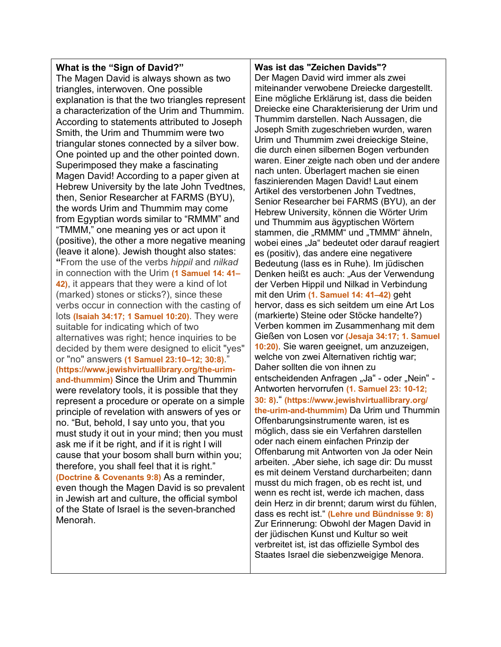### **What is the "Sign of David?"**

The Magen David is always shown as two triangles, interwoven. One possible explanation is that the two triangles represent a characterization of the Urim and Thummim. According to statements attributed to Joseph Smith, the Urim and Thummim were two triangular stones connected by a silver bow. One pointed up and the other pointed down. Superimposed they make a fascinating Magen David! According to a paper given at Hebrew University by the late John Tvedtnes, then, Senior Researcher at FARMS (BYU), the words Urim and Thummim may come from Egyptian words similar to "RMMM" and "TMMM," one meaning yes or act upon it (positive), the other a more negative meaning (leave it alone). Jewish thought also states: **"**From the use of the verbs *hippil* and *nilkad*  in connection with the Urim **(1 Samuel 14: 41– 42)**, it appears that they were a kind of lot (marked) stones or sticks?), since these verbs occur in connection with the casting of lots **(Isaiah 34:17; 1 Samuel 10:20)**. They were suitable for indicating which of two alternatives was right; hence inquiries to be decided by them were designed to elicit "yes" or "no" answers **(1 Samuel 23:10–12; 30:8)**." **(https://www.jewishvirtuallibrary.org/the-urimand-thummim)** Since the Urim and Thummin were revelatory tools, it is possible that they represent a procedure or operate on a simple principle of revelation with answers of yes or no. "But, behold, I say unto you, that you must study it out in your mind; then you must ask me if it be right, and if it is right I will cause that your bosom shall burn within you; therefore, you shall feel that it is right." **(Doctrine & Covenants 9:8)** As a reminder, even though the Magen David is so prevalent in Jewish art and culture, the official symbol of the State of Israel is the seven-branched Menorah.

#### **Was ist das "Zeichen Davids"?** Der Magen David wird immer als zwei miteinander verwobene Dreiecke dargestellt. Eine mögliche Erklärung ist, dass die beiden Dreiecke eine Charakterisierung der Urim und Thummim darstellen. Nach Aussagen, die Joseph Smith zugeschrieben wurden, waren Urim und Thummim zwei dreieckige Steine, die durch einen silbernen Bogen verbunden waren. Einer zeigte nach oben und der andere nach unten. Überlagert machen sie einen faszinierenden Magen David! Laut einem Artikel des verstorbenen John Tvedtnes, Senior Researcher bei FARMS (BYU), an der Hebrew University, können die Wörter Urim und Thummim aus ägyptischen Wörtern stammen, die "RMMM" und "TMMM" ähneln, wobei eines "Ja" bedeutet oder darauf reagiert es (positiv), das andere eine negativere Bedeutung (lass es in Ruhe). Im jüdischen Denken heißt es auch: "Aus der Verwendung der Verben Hippil und Nilkad in Verbindung mit den Urim **(1. Samuel 14: 41–42)** geht hervor, dass es sich seitdem um eine Art Los (markierte) Steine oder Stöcke handelte?) Verben kommen im Zusammenhang mit dem Gießen von Losen vor **(Jesaja 34:17; 1. Samuel 10:20)**. Sie waren geeignet, um anzuzeigen, welche von zwei Alternativen richtig war; Daher sollten die von ihnen zu entscheidenden Anfragen "Ja" - oder "Nein" -Antworten hervorrufen **(1. Samuel 23: 10-12; 30: 8)**." **(https://www.jewishvirtuallibrary.org/ the-urim-and-thummim)** Da Urim und Thummin Offenbarungsinstrumente waren, ist es möglich, dass sie ein Verfahren darstellen oder nach einem einfachen Prinzip der Offenbarung mit Antworten von Ja oder Nein arbeiten. "Aber siehe, ich sage dir: Du musst es mit deinem Verstand durcharbeiten; dann musst du mich fragen, ob es recht ist, und wenn es recht ist, werde ich machen, dass dein Herz in dir brennt; darum wirst du fühlen, dass es recht ist." **(Lehre und Bündnisse 9: 8)** Zur Erinnerung: Obwohl der Magen David in der jüdischen Kunst und Kultur so weit verbreitet ist, ist das offizielle Symbol des Staates Israel die siebenzweigige Menora.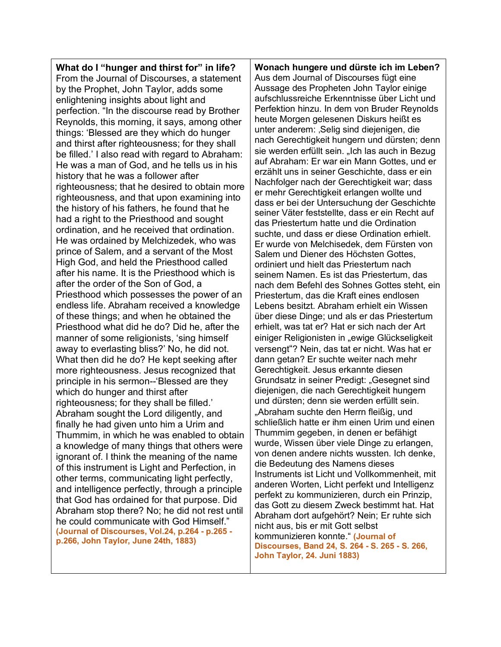**What do I "hunger and thirst for" in life?** From the Journal of Discourses, a statement by the Prophet, John Taylor, adds some enlightening insights about light and perfection. "In the discourse read by Brother Reynolds, this morning, it says, among other things: 'Blessed are they which do hunger and thirst after righteousness; for they shall be filled.' I also read with regard to Abraham: He was a man of God, and he tells us in his history that he was a follower after righteousness; that he desired to obtain more righteousness, and that upon examining into the history of his fathers, he found that he had a right to the Priesthood and sought ordination, and he received that ordination. He was ordained by Melchizedek, who was prince of Salem, and a servant of the Most High God, and held the Priesthood called after his name. It is the Priesthood which is after the order of the Son of God, a Priesthood which possesses the power of an endless life. Abraham received a knowledge of these things; and when he obtained the Priesthood what did he do? Did he, after the manner of some religionists, 'sing himself away to everlasting bliss?' No, he did not. What then did he do? He kept seeking after more righteousness. Jesus recognized that principle in his sermon--'Blessed are they which do hunger and thirst after righteousness; for they shall be filled.' Abraham sought the Lord diligently, and finally he had given unto him a Urim and Thummim, in which he was enabled to obtain a knowledge of many things that others were ignorant of. I think the meaning of the name of this instrument is Light and Perfection, in other terms, communicating light perfectly, and intelligence perfectly, through a principle that God has ordained for that purpose. Did Abraham stop there? No; he did not rest until he could communicate with God Himself." **(Journal of Discourses, Vol.24, p.264 - p.265 p.266, John Taylor, June 24th, 1883)**

**Wonach hungere und dürste ich im Leben?** Aus dem Journal of Discourses fügt eine Aussage des Propheten John Taylor einige aufschlussreiche Erkenntnisse über Licht und Perfektion hinzu. In dem von Bruder Reynolds heute Morgen gelesenen Diskurs heißt es unter anderem: ,Selig sind diejenigen, die nach Gerechtigkeit hungern und dürsten; denn sie werden erfüllt sein. "Ich las auch in Bezug auf Abraham: Er war ein Mann Gottes, und er erzählt uns in seiner Geschichte, dass er ein Nachfolger nach der Gerechtigkeit war; dass er mehr Gerechtigkeit erlangen wollte und dass er bei der Untersuchung der Geschichte seiner Väter feststellte, dass er ein Recht auf das Priestertum hatte und die Ordination suchte, und dass er diese Ordination erhielt. Er wurde von Melchisedek, dem Fürsten von Salem und Diener des Höchsten Gottes, ordiniert und hielt das Priestertum nach seinem Namen. Es ist das Priestertum, das nach dem Befehl des Sohnes Gottes steht, ein Priestertum, das die Kraft eines endlosen Lebens besitzt. Abraham erhielt ein Wissen über diese Dinge; und als er das Priestertum erhielt, was tat er? Hat er sich nach der Art einiger Religionisten in "ewige Glückseligkeit versengt"? Nein, das tat er nicht. Was hat er dann getan? Er suchte weiter nach mehr Gerechtigkeit. Jesus erkannte diesen Grundsatz in seiner Predigt: "Gesegnet sind diejenigen, die nach Gerechtigkeit hungern und dürsten; denn sie werden erfüllt sein. "Abraham suchte den Herrn fleißig, und schließlich hatte er ihm einen Urim und einen Thummim gegeben, in denen er befähigt wurde, Wissen über viele Dinge zu erlangen, von denen andere nichts wussten. Ich denke, die Bedeutung des Namens dieses Instruments ist Licht und Vollkommenheit, mit anderen Worten, Licht perfekt und Intelligenz perfekt zu kommunizieren, durch ein Prinzip, das Gott zu diesem Zweck bestimmt hat. Hat Abraham dort aufgehört? Nein; Er ruhte sich nicht aus, bis er mit Gott selbst kommunizieren konnte." **(Journal of Discourses, Band 24, S. 264 - S. 265 - S. 266, John Taylor, 24. Juni 1883)**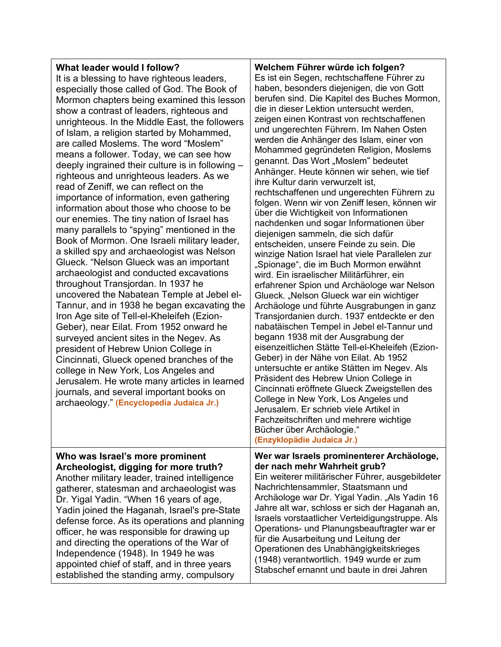#### **What leader would I follow?**

It is a blessing to have righteous leaders, especially those called of God. The Book of Mormon chapters being examined this lesson show a contrast of leaders, righteous and unrighteous. In the Middle East, the followers of Islam, a religion started by Mohammed, are called Moslems. The word "Moslem" means a follower. Today, we can see how deeply ingrained their culture is in following – righteous and unrighteous leaders. As we read of Zeniff, we can reflect on the importance of information, even gathering information about those who choose to be our enemies. The tiny nation of Israel has many parallels to "spying" mentioned in the Book of Mormon. One Israeli military leader, a skilled spy and archaeologist was Nelson Glueck. "Nelson Glueck was an important archaeologist and conducted excavations throughout Transjordan. In 1937 he uncovered the Nabatean Temple at Jebel el-Tannur, and in 1938 he began excavating the Iron Age site of Tell-el-Kheleifeh (Ezion-Geber), near Eilat. From 1952 onward he surveyed ancient sites in the Negev. As president of Hebrew Union College in Cincinnati, Glueck opened branches of the college in New York, Los Angeles and Jerusalem. He wrote many articles in learned journals, and several important books on archaeology." **(Encyclopedia Judaica Jr.)**

Es ist ein Segen, rechtschaffene Führer zu haben, besonders diejenigen, die von Gott berufen sind. Die Kapitel des Buches Mormon, die in dieser Lektion untersucht werden, zeigen einen Kontrast von rechtschaffenen und ungerechten Führern. Im Nahen Osten werden die Anhänger des Islam, einer von Mohammed gegründeten Religion, Moslems genannt. Das Wort "Moslem" bedeutet Anhänger. Heute können wir sehen, wie tief ihre Kultur darin verwurzelt ist, rechtschaffenen und ungerechten Führern zu folgen. Wenn wir von Zeniff lesen, können wir über die Wichtigkeit von Informationen nachdenken und sogar Informationen über diejenigen sammeln, die sich dafür entscheiden, unsere Feinde zu sein. Die winzige Nation Israel hat viele Parallelen zur "Spionage", die im Buch Mormon erwähnt wird. Ein israelischer Militärführer, ein erfahrener Spion und Archäologe war Nelson Glueck. "Nelson Glueck war ein wichtiger Archäologe und führte Ausgrabungen in ganz Transjordanien durch. 1937 entdeckte er den nabatäischen Tempel in Jebel el-Tannur und begann 1938 mit der Ausgrabung der eisenzeitlichen Stätte Tell-el-Kheleifeh (Ezion-Geber) in der Nähe von Eilat. Ab 1952 untersuchte er antike Stätten im Negev. Als Präsident des Hebrew Union College in Cincinnati eröffnete Glueck Zweigstellen des College in New York, Los Angeles und Jerusalem. Er schrieb viele Artikel in Fachzeitschriften und mehrere wichtige Bücher über Archäologie." **(Enzyklopädie Judaica Jr.)**

**Welchem Führer würde ich folgen?**

**Who was Israel's more prominent Archeologist, digging for more truth?** Another military leader, trained intelligence gatherer, statesman and archaeologist was Dr. Yigal Yadin. "When 16 years of age, Yadin joined the Haganah, Israel's pre-State defense force. As its operations and planning officer, he was responsible for drawing up and directing the operations of the War of Independence (1948). In 1949 he was appointed chief of staff, and in three years established the standing army, compulsory

**Wer war Israels prominenterer Archäologe, der nach mehr Wahrheit grub?** Ein weiterer militärischer Führer, ausgebildeter Nachrichtensammler, Staatsmann und Archäologe war Dr. Yigal Yadin. "Als Yadin 16 Jahre alt war, schloss er sich der Haganah an, Israels vorstaatlicher Verteidigungstruppe. Als Operations- und Planungsbeauftragter war er für die Ausarbeitung und Leitung der Operationen des Unabhängigkeitskrieges

(1948) verantwortlich. 1949 wurde er zum Stabschef ernannt und baute in drei Jahren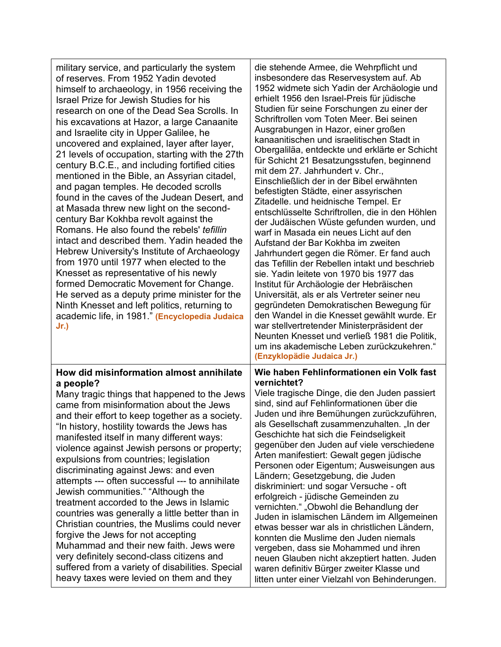| military service, and particularly the system<br>of reserves. From 1952 Yadin devoted<br>himself to archaeology, in 1956 receiving the<br>Israel Prize for Jewish Studies for his<br>research on one of the Dead Sea Scrolls. In<br>his excavations at Hazor, a large Canaanite<br>and Israelite city in Upper Galilee, he<br>uncovered and explained, layer after layer,<br>21 levels of occupation, starting with the 27th<br>century B.C.E., and including fortified cities<br>mentioned in the Bible, an Assyrian citadel,<br>and pagan temples. He decoded scrolls<br>found in the caves of the Judean Desert, and<br>at Masada threw new light on the second-<br>century Bar Kokhba revolt against the<br>Romans. He also found the rebels' tefillin<br>intact and described them. Yadin headed the<br>Hebrew University's Institute of Archaeology<br>from 1970 until 1977 when elected to the<br>Knesset as representative of his newly<br>formed Democratic Movement for Change.<br>He served as a deputy prime minister for the<br>Ninth Knesset and left politics, returning to<br>academic life, in 1981." (Encyclopedia Judaica<br>$Jr$ .) | die stehende Armee, die Wehrpflicht und<br>insbesondere das Reservesystem auf. Ab<br>1952 widmete sich Yadin der Archäologie und<br>erhielt 1956 den Israel-Preis für jüdische<br>Studien für seine Forschungen zu einer der<br>Schriftrollen vom Toten Meer. Bei seinen<br>Ausgrabungen in Hazor, einer großen<br>kanaanitischen und israelitischen Stadt in<br>Obergaliläa, entdeckte und erklärte er Schicht<br>für Schicht 21 Besatzungsstufen, beginnend<br>mit dem 27. Jahrhundert v. Chr.,<br>Einschließlich der in der Bibel erwähnten<br>befestigten Städte, einer assyrischen<br>Zitadelle. und heidnische Tempel. Er<br>entschlüsselte Schriftrollen, die in den Höhlen<br>der Judäischen Wüste gefunden wurden, und<br>warf in Masada ein neues Licht auf den<br>Aufstand der Bar Kokhba im zweiten<br>Jahrhundert gegen die Römer. Er fand auch<br>das Tefillin der Rebellen intakt und beschrieb<br>sie. Yadin leitete von 1970 bis 1977 das<br>Institut für Archäologie der Hebräischen<br>Universität, als er als Vertreter seiner neu<br>gegründeten Demokratischen Bewegung für<br>den Wandel in die Knesset gewählt wurde. Er<br>war stellvertretender Ministerpräsident der<br>Neunten Knesset und verließ 1981 die Politik,<br>um ins akademische Leben zurückzukehren."<br>(Enzyklopädie Judaica Jr.) |
|---------------------------------------------------------------------------------------------------------------------------------------------------------------------------------------------------------------------------------------------------------------------------------------------------------------------------------------------------------------------------------------------------------------------------------------------------------------------------------------------------------------------------------------------------------------------------------------------------------------------------------------------------------------------------------------------------------------------------------------------------------------------------------------------------------------------------------------------------------------------------------------------------------------------------------------------------------------------------------------------------------------------------------------------------------------------------------------------------------------------------------------------------------|-----------------------------------------------------------------------------------------------------------------------------------------------------------------------------------------------------------------------------------------------------------------------------------------------------------------------------------------------------------------------------------------------------------------------------------------------------------------------------------------------------------------------------------------------------------------------------------------------------------------------------------------------------------------------------------------------------------------------------------------------------------------------------------------------------------------------------------------------------------------------------------------------------------------------------------------------------------------------------------------------------------------------------------------------------------------------------------------------------------------------------------------------------------------------------------------------------------------------------------------------------------------------------------------------------------------------------|
| How did misinformation almost annihilate<br>a people?<br>Many tragic things that happened to the Jews<br>came from misinformation about the Jews<br>and their effort to keep together as a society.<br>"In history, hostility towards the Jews has<br>manifested itself in many different ways:<br>violence against Jewish persons or property;<br>expulsions from countries; legislation<br>discriminating against Jews: and even<br>attempts --- often successful --- to annihilate<br>Jewish communities." "Although the<br>treatment accorded to the Jews in Islamic<br>countries was generally a little better than in<br>Christian countries, the Muslims could never<br>forgive the Jews for not accepting<br>Muhammad and their new faith. Jews were<br>very definitely second-class citizens and<br>suffered from a variety of disabilities. Special<br>heavy taxes were levied on them and they                                                                                                                                                                                                                                               | Wie haben Fehlinformationen ein Volk fast<br>vernichtet?<br>Viele tragische Dinge, die den Juden passiert<br>sind, sind auf Fehlinformationen über die<br>Juden und ihre Bemühungen zurückzuführen,<br>als Gesellschaft zusammenzuhalten. "In der<br>Geschichte hat sich die Feindseligkeit<br>gegenüber den Juden auf viele verschiedene<br>Arten manifestiert: Gewalt gegen jüdische<br>Personen oder Eigentum; Ausweisungen aus<br>Ländern; Gesetzgebung, die Juden<br>diskriminiert: und sogar Versuche - oft<br>erfolgreich - jüdische Gemeinden zu<br>vernichten." "Obwohl die Behandlung der<br>Juden in islamischen Ländern im Allgemeinen<br>etwas besser war als in christlichen Ländern,<br>konnten die Muslime den Juden niemals<br>vergeben, dass sie Mohammed und ihren<br>neuen Glauben nicht akzeptiert hatten. Juden<br>waren definitiv Bürger zweiter Klasse und<br>litten unter einer Vielzahl von Behinderungen.                                                                                                                                                                                                                                                                                                                                                                                        |